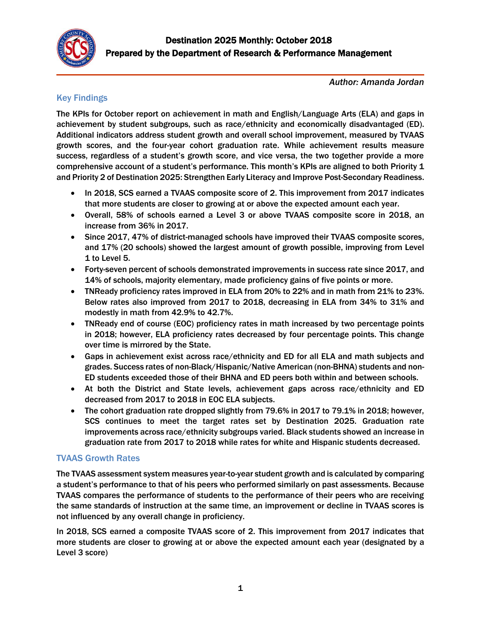

*Author: Amanda Jordan*

## Key Findings

The KPIs for October report on achievement in math and English/Language Arts (ELA) and gaps in achievement by student subgroups, such as race/ethnicity and economically disadvantaged (ED). Additional indicators address student growth and overall school improvement, measured by TVAAS growth scores, and the four-year cohort graduation rate. While achievement results measure success, regardless of a student's growth score, and vice versa, the two together provide a more comprehensive account of a student's performance. This month's KPIs are aligned to both Priority 1 and Priority 2 of Destination 2025: Strengthen Early Literacy and Improve Post-Secondary Readiness.

- In 2018, SCS earned a TVAAS composite score of 2. This improvement from 2017 indicates that more students are closer to growing at or above the expected amount each year.
- Overall, 58% of schools earned a Level 3 or above TVAAS composite score in 2018, an increase from 36% in 2017.
- Since 2017, 47% of district-managed schools have improved their TVAAS composite scores, and 17% (20 schools) showed the largest amount of growth possible, improving from Level 1 to Level 5.
- Forty-seven percent of schools demonstrated improvements in success rate since 2017, and 14% of schools, majority elementary, made proficiency gains of five points or more.
- TNReady proficiency rates improved in ELA from 20% to 22% and in math from 21% to 23%. Below rates also improved from 2017 to 2018, decreasing in ELA from 34% to 31% and modestly in math from 42.9% to 42.7%.
- TNReady end of course (EOC) proficiency rates in math increased by two percentage points in 2018; however, ELA proficiency rates decreased by four percentage points. This change over time is mirrored by the State.
- Gaps in achievement exist across race/ethnicity and ED for all ELA and math subjects and grades. Success rates of non-Black/Hispanic/Native American (non-BHNA) students and non-ED students exceeded those of their BHNA and ED peers both within and between schools.
- At both the District and State levels, achievement gaps across race/ethnicity and ED decreased from 2017 to 2018 in EOC ELA subjects.
- The cohort graduation rate dropped slightly from 79.6% in 2017 to 79.1% in 2018; however, SCS continues to meet the target rates set by Destination 2025. Graduation rate improvements across race/ethnicity subgroups varied. Black students showed an increase in graduation rate from 2017 to 2018 while rates for white and Hispanic students decreased.

## TVAAS Growth Rates

The TVAAS assessment system measures year-to-year student growth and is calculated by comparing a student's performance to that of his peers who performed similarly on past assessments. Because TVAAS compares the performance of students to the performance of their peers who are receiving the same standards of instruction at the same time, an improvement or decline in TVAAS scores is not influenced by any overall change in proficiency.

In 2018, SCS earned a composite TVAAS score of 2. This improvement from 2017 indicates that more students are closer to growing at or above the expected amount each year (designated by a Level 3 score)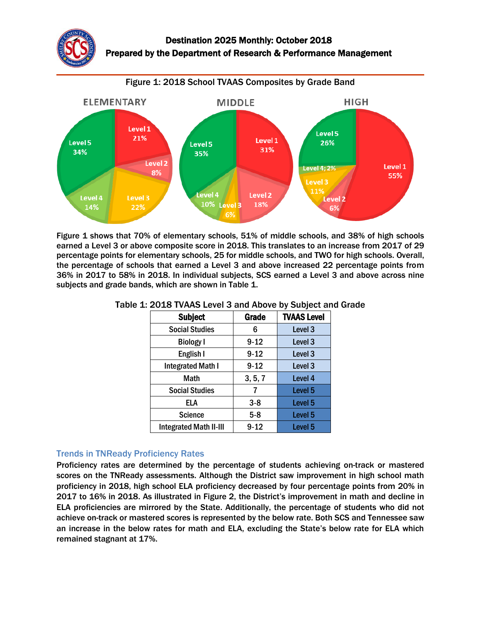

Figure 1 shows that 70% of elementary schools, 51% of middle schools, and 38% of high schools earned a Level 3 or above composite score in 2018. This translates to an increase from 2017 of 29 percentage points for elementary schools, 25 for middle schools, and TWO for high schools. Overall, the percentage of schools that earned a Level 3 and above increased 22 percentage points from 36% in 2017 to 58% in 2018. In individual subjects, SCS earned a Level 3 and above across nine subjects and grade bands, which are shown in Table 1.

| <b>Subject</b>                | Grade    | <b>TVAAS Level</b> |
|-------------------------------|----------|--------------------|
| <b>Social Studies</b>         | 6        | Level 3            |
| <b>Biology I</b>              | $9 - 12$ | Level 3            |
| English I                     | $9 - 12$ | Level 3            |
| <b>Integrated Math I</b>      | $9 - 12$ | Level 3            |
| Math                          | 3, 5, 7  | Level 4            |
| <b>Social Studies</b>         | 7        | Level 5            |
| ELA                           | $3 - 8$  | Level 5            |
| <b>Science</b>                | $5 - 8$  | Level <sub>5</sub> |
| <b>Integrated Math II-III</b> | $9 - 12$ | Level <sub>5</sub> |

### Table 1: 2018 TVAAS Level 3 and Above by Subject and Grade

### Trends in TNReady Proficiency Rates

Proficiency rates are determined by the percentage of students achieving on-track or mastered scores on the TNReady assessments. Although the District saw improvement in high school math proficiency in 2018, high school ELA proficiency decreased by four percentage points from 20% in 2017 to 16% in 2018. As illustrated in Figure 2, the District's improvement in math and decline in ELA proficiencies are mirrored by the State. Additionally, the percentage of students who did not achieve on-track or mastered scores is represented by the below rate. Both SCS and Tennessee saw an increase in the below rates for math and ELA, excluding the State's below rate for ELA which remained stagnant at 17%.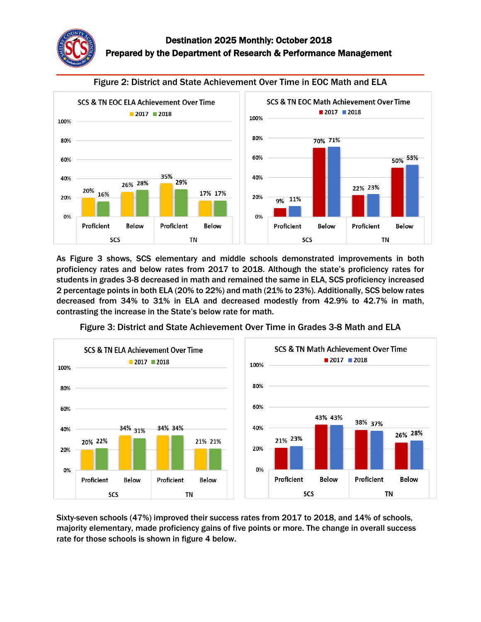



Figure 2: District and State Achievement Over Time in EOC Math and ELA

As Figure 3 shows, SCS elementary and middle schools demonstrated improvements in both proficiency rates and below rates from 2017 to 2018. Although the state's proficiency rates for students in grades 3-8 decreased in math and remained the same in ELA, SCS proficiency increased 2 percentage points in both ELA (20% to 22%) and math (21% to 23%). Additionally, SCS below rates decreased from 34% to 31% in ELA and decreased modestly from 42.9% to 42.7% in math, contrasting the increase in the State's below rate for math.



Figure 3: District and State Achievement Over Time in Grades 3-8 Math and ELA

Sixty-seven schools (47%) improved their success rates from 2017 to 2018, and 14% of schools, majority elementary, made proficiency gains of five points or more. The change in overall success rate for those schools is shown in figure 4 below.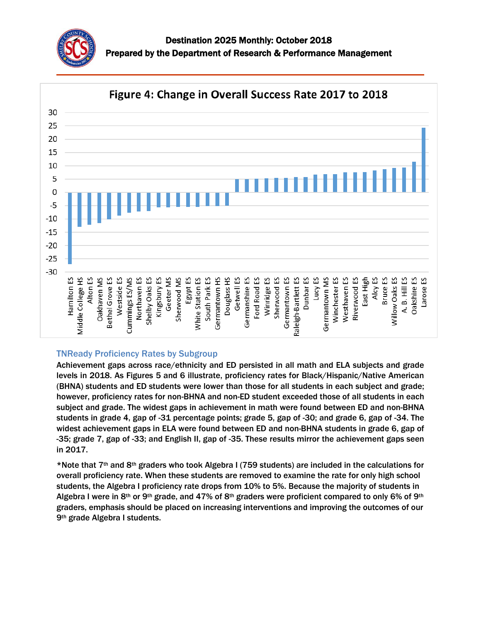



## TNReady Proficiency Rates by Subgroup

Achievement gaps across race/ethnicity and ED persisted in all math and ELA subjects and grade levels in 2018. As Figures 5 and 6 illustrate, proficiency rates for Black/Hispanic/Native American (BHNA) students and ED students were lower than those for all students in each subject and grade; however, proficiency rates for non-BHNA and non-ED student exceeded those of all students in each subject and grade. The widest gaps in achievement in math were found between ED and non-BHNA students in grade 4, gap of -31 percentage points; grade 5, gap of -30; and grade 6, gap of -34. The widest achievement gaps in ELA were found between ED and non-BHNA students in grade 6, gap of -35; grade 7, gap of -33; and English II, gap of -35. These results mirror the achievement gaps seen in 2017.

\*Note that 7th and 8th graders who took Algebra I (759 students) are included in the calculations for overall proficiency rate. When these students are removed to examine the rate for only high school students, the Algebra I proficiency rate drops from 10% to 5%. Because the majority of students in Algebra I were in 8<sup>th</sup> or 9<sup>th</sup> grade, and 47% of 8<sup>th</sup> graders were proficient compared to only 6% of 9<sup>th</sup> graders, emphasis should be placed on increasing interventions and improving the outcomes of our 9th grade Algebra I students.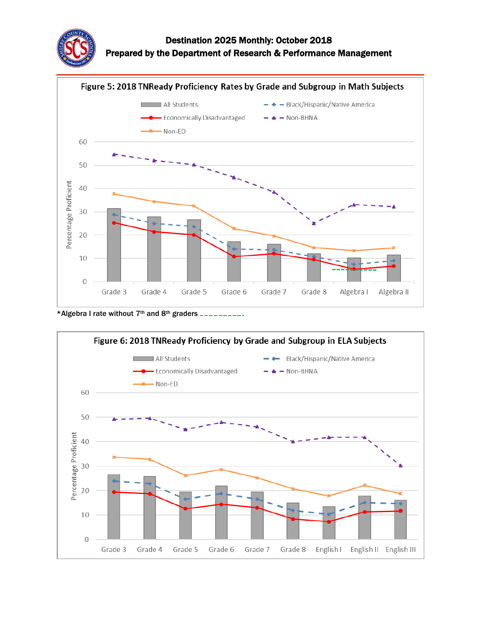

# Destination 2025 Monthly: October 2018 Prepared by the Department of Research & Performance Management



\*Algebra I rate without 7<sup>th</sup> and 8<sup>th</sup> graders \_\_\_\_\_\_\_\_\_\_

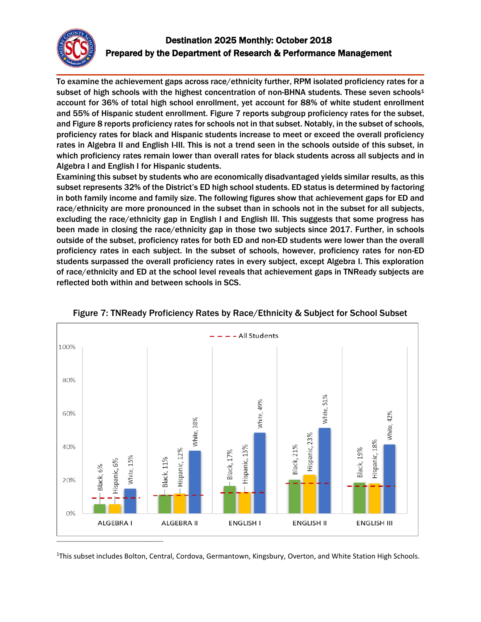

# Destination 2025 Monthly: October 2018 Prepared by the Department of Research & Performance Management

To examine the achievement gaps across race/ethnicity further, RPM isolated proficiency rates for a subset of high schools with the highest concentration of non-BHNA students. These seven schools<sup>1</sup> account for 36% of total high school enrollment, yet account for 88% of white student enrollment and 55% of Hispanic student enrollment. Figure 7 reports subgroup proficiency rates for the subset, and Figure 8 reports proficiency rates for schools not in that subset. Notably, in the subset of schools, proficiency rates for black and Hispanic students increase to meet or exceed the overall proficiency rates in Algebra II and English I-III. This is not a trend seen in the schools outside of this subset, in which proficiency rates remain lower than overall rates for black students across all subjects and in Algebra I and English I for Hispanic students.

Examining this subset by students who are economically disadvantaged yields similar results, as this subset represents 32% of the District's ED high school students. ED status is determined by factoring in both family income and family size. The following figures show that achievement gaps for ED and race/ethnicity are more pronounced in the subset than in schools not in the subset for all subjects, excluding the race/ethnicity gap in English I and English III. This suggests that some progress has been made in closing the race/ethnicity gap in those two subjects since 2017. Further, in schools outside of the subset, proficiency rates for both ED and non-ED students were lower than the overall proficiency rates in each subject. In the subset of schools, however, proficiency rates for non-ED students surpassed the overall proficiency rates in every subject, except Algebra I. This exploration of race/ethnicity and ED at the school level reveals that achievement gaps in TNReady subjects are reflected both within and between schools in SCS.





<sup>1</sup>This subset includes Bolton, Central, Cordova, Germantown, Kingsbury, Overton, and White Station High Schools.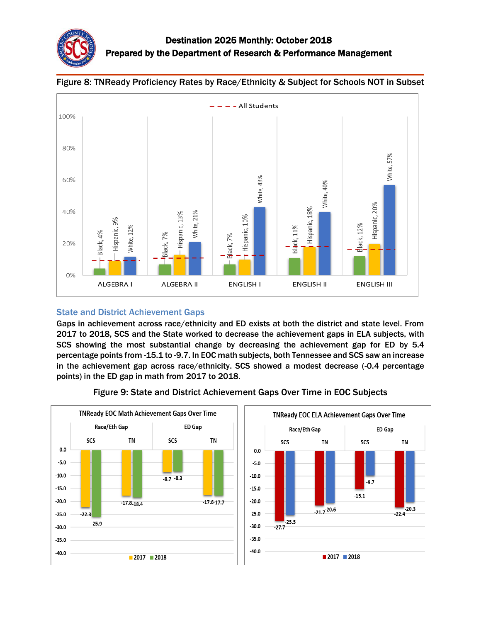





## State and District Achievement Gaps

Gaps in achievement across race/ethnicity and ED exists at both the district and state level. From 2017 to 2018, SCS and the State worked to decrease the achievement gaps in ELA subjects, with SCS showing the most substantial change by decreasing the achievement gap for ED by 5.4 percentage points from -15.1 to -9.7. In EOC math subjects, both Tennessee and SCS saw an increase in the achievement gap across race/ethnicity. SCS showed a modest decrease (-0.4 percentage points) in the ED gap in math from 2017 to 2018.



Figure 9: State and District Achievement Gaps Over Time in EOC Subjects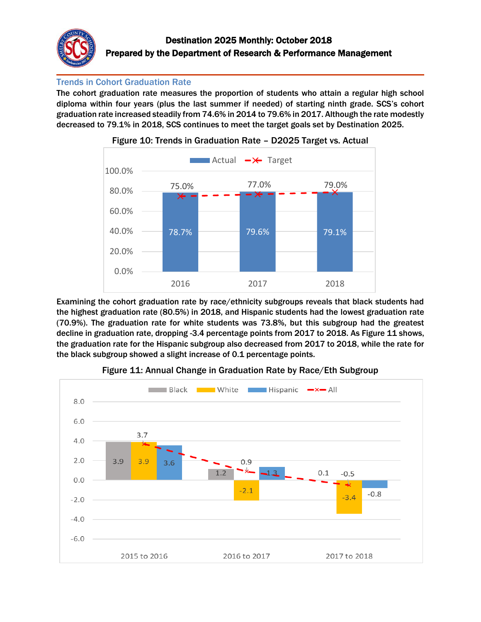

## Trends in Cohort Graduation Rate

The cohort graduation rate measures the proportion of students who attain a regular high school diploma within four years (plus the last summer if needed) of starting ninth grade. SCS's cohort graduation rate increased steadily from 74.6% in 2014 to 79.6% in 2017. Although the rate modestly decreased to 79.1% in 2018, SCS continues to meet the target goals set by Destination 2025.





Examining the cohort graduation rate by race/ethnicity subgroups reveals that black students had the highest graduation rate (80.5%) in 2018, and Hispanic students had the lowest graduation rate (70.9%). The graduation rate for white students was 73.8%, but this subgroup had the greatest decline in graduation rate, dropping -3.4 percentage points from 2017 to 2018. As Figure 11 shows, the graduation rate for the Hispanic subgroup also decreased from 2017 to 2018, while the rate for the black subgroup showed a slight increase of 0.1 percentage points.



Figure 11: Annual Change in Graduation Rate by Race/Eth Subgroup